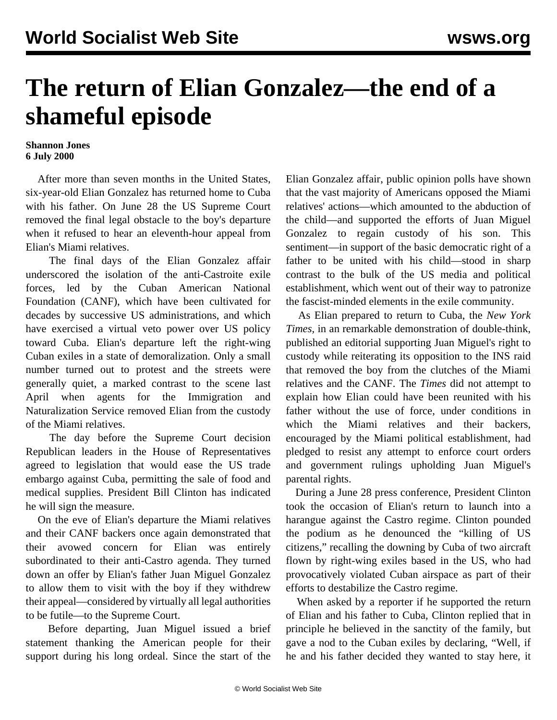## **The return of Elian Gonzalez—the end of a shameful episode**

## **Shannon Jones 6 July 2000**

 After more than seven months in the United States, six-year-old Elian Gonzalez has returned home to Cuba with his father. On June 28 the US Supreme Court removed the final legal obstacle to the boy's departure when it refused to hear an eleventh-hour appeal from Elian's Miami relatives.

 The final days of the Elian Gonzalez affair underscored the isolation of the anti-Castroite exile forces, led by the Cuban American National Foundation (CANF), which have been cultivated for decades by successive US administrations, and which have exercised a virtual veto power over US policy toward Cuba. Elian's departure left the right-wing Cuban exiles in a state of demoralization. Only a small number turned out to protest and the streets were generally quiet, a marked contrast to the scene last April when agents for the Immigration and Naturalization Service removed Elian from the custody of the Miami relatives.

 The day before the Supreme Court decision Republican leaders in the House of Representatives agreed to legislation that would ease the US trade embargo against Cuba, permitting the sale of food and medical supplies. President Bill Clinton has indicated he will sign the measure.

 On the eve of Elian's departure the Miami relatives and their CANF backers once again demonstrated that their avowed concern for Elian was entirely subordinated to their anti-Castro agenda. They turned down an offer by Elian's father Juan Miguel Gonzalez to allow them to visit with the boy if they withdrew their appeal—considered by virtually all legal authorities to be futile—to the Supreme Court.

 Before departing, Juan Miguel issued a brief statement thanking the American people for their support during his long ordeal. Since the start of the

Elian Gonzalez affair, public opinion polls have shown that the vast majority of Americans opposed the Miami relatives' actions—which amounted to the abduction of the child—and supported the efforts of Juan Miguel Gonzalez to regain custody of his son. This sentiment—in support of the basic democratic right of a father to be united with his child—stood in sharp contrast to the bulk of the US media and political establishment, which went out of their way to patronize the fascist-minded elements in the exile community.

 As Elian prepared to return to Cuba, the *New York Times,* in an remarkable demonstration of double-think, published an editorial supporting Juan Miguel's right to custody while reiterating its opposition to the INS raid that removed the boy from the clutches of the Miami relatives and the CANF. The *Times* did not attempt to explain how Elian could have been reunited with his father without the use of force, under conditions in which the Miami relatives and their backers, encouraged by the Miami political establishment, had pledged to resist any attempt to enforce court orders and government rulings upholding Juan Miguel's parental rights.

 During a June 28 press conference, President Clinton took the occasion of Elian's return to launch into a harangue against the Castro regime. Clinton pounded the podium as he denounced the "killing of US citizens," recalling the downing by Cuba of two aircraft flown by right-wing exiles based in the US, who had provocatively violated Cuban airspace as part of their efforts to destabilize the Castro regime.

 When asked by a reporter if he supported the return of Elian and his father to Cuba, Clinton replied that in principle he believed in the sanctity of the family, but gave a nod to the Cuban exiles by declaring, "Well, if he and his father decided they wanted to stay here, it